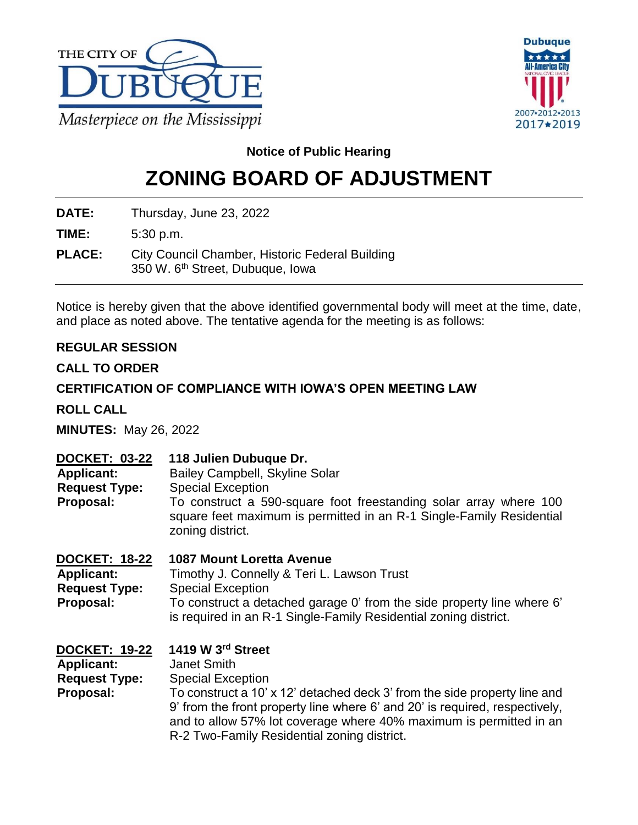



**Notice of Public Hearing**

# **ZONING BOARD OF ADJUSTMENT**

**DATE:** Thursday, June 23, 2022

**TIME:** 5:30 p.m.

**PLACE:** City Council Chamber, Historic Federal Building 350 W. 6<sup>th</sup> Street, Dubuque, Iowa

Notice is hereby given that the above identified governmental body will meet at the time, date, and place as noted above. The tentative agenda for the meeting is as follows:

# **REGULAR SESSION**

# **CALL TO ORDER**

# **CERTIFICATION OF COMPLIANCE WITH IOWA'S OPEN MEETING LAW**

**ROLL CALL**

**MINUTES:** May 26, 2022

| <b>DOCKET: 03-22</b><br><b>Applicant:</b><br><b>Request Type:</b><br>Proposal: | 118 Julien Dubuque Dr.<br>Bailey Campbell, Skyline Solar<br><b>Special Exception</b><br>To construct a 590-square foot freestanding solar array where 100<br>square feet maximum is permitted in an R-1 Single-Family Residential<br>zoning district.                                                 |
|--------------------------------------------------------------------------------|-------------------------------------------------------------------------------------------------------------------------------------------------------------------------------------------------------------------------------------------------------------------------------------------------------|
| DOCKET: 18-22<br><b>Applicant:</b><br><b>Request Type:</b><br>Proposal:        | <b>1087 Mount Loretta Avenue</b><br>Timothy J. Connelly & Teri L. Lawson Trust<br><b>Special Exception</b><br>To construct a detached garage 0' from the side property line where 6'<br>is required in an R-1 Single-Family Residential zoning district.                                              |
| <b>DOCKET: 19-22</b><br><b>Applicant:</b><br><b>Request Type:</b><br>Proposal: | 1419 W 3rd Street<br><b>Janet Smith</b><br><b>Special Exception</b><br>To construct a 10' x 12' detached deck 3' from the side property line and<br>9' from the front property line where 6' and 20' is required, respectively,<br>and to allow 57% lot coverage where 40% maximum is permitted in an |

R-2 Two-Family Residential zoning district.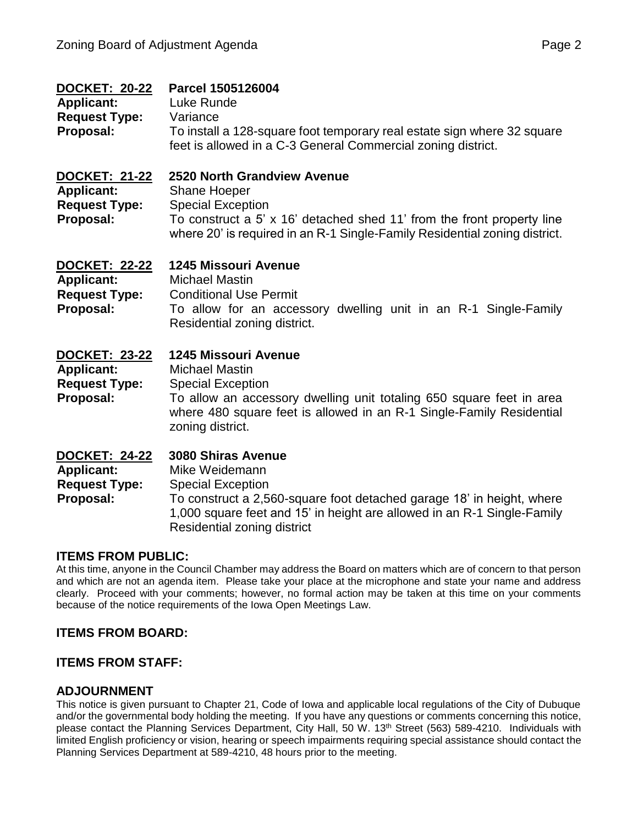| <b>DOCKET: 20-22</b><br><b>Applicant:</b><br><b>Request Type:</b><br>Proposal: | Parcel 1505126004<br>Luke Runde<br>Variance<br>To install a 128-square foot temporary real estate sign where 32 square<br>feet is allowed in a C-3 General Commercial zoning district.                                                                     |
|--------------------------------------------------------------------------------|------------------------------------------------------------------------------------------------------------------------------------------------------------------------------------------------------------------------------------------------------------|
| <b>DOCKET: 21-22</b><br><b>Applicant:</b><br><b>Request Type:</b><br>Proposal: | 2520 North Grandview Avenue<br><b>Shane Hoeper</b><br><b>Special Exception</b><br>To construct a 5' x 16' detached shed 11' from the front property line<br>where 20' is required in an R-1 Single-Family Residential zoning district.                     |
| DOCKET: 22-22<br><b>Applicant:</b><br><b>Request Type:</b><br>Proposal:        | <b>1245 Missouri Avenue</b><br><b>Michael Mastin</b><br><b>Conditional Use Permit</b><br>To allow for an accessory dwelling unit in an R-1 Single-Family<br>Residential zoning district.                                                                   |
| <b>DOCKET: 23-22</b><br><b>Applicant:</b><br><b>Request Type:</b><br>Proposal: | 1245 Missouri Avenue<br><b>Michael Mastin</b><br><b>Special Exception</b><br>To allow an accessory dwelling unit totaling 650 square feet in area<br>where 480 square feet is allowed in an R-1 Single-Family Residential<br>zoning district.              |
| <b>DOCKET: 24-22</b><br><b>Applicant:</b><br><b>Request Type:</b><br>Proposal: | <b>3080 Shiras Avenue</b><br>Mike Weidemann<br><b>Special Exception</b><br>To construct a 2,560-square foot detached garage 18' in height, where<br>1,000 square feet and 15' in height are allowed in an R-1 Single-Family<br>Residential zoning district |

### **ITEMS FROM PUBLIC:**

At this time, anyone in the Council Chamber may address the Board on matters which are of concern to that person and which are not an agenda item. Please take your place at the microphone and state your name and address clearly. Proceed with your comments; however, no formal action may be taken at this time on your comments because of the notice requirements of the Iowa Open Meetings Law.

### **ITEMS FROM BOARD:**

### **ITEMS FROM STAFF:**

### **ADJOURNMENT**

This notice is given pursuant to Chapter 21, Code of Iowa and applicable local regulations of the City of Dubuque and/or the governmental body holding the meeting. If you have any questions or comments concerning this notice, please contact the Planning Services Department, City Hall, 50 W. 13<sup>th</sup> Street (563) 589-4210. Individuals with limited English proficiency or vision, hearing or speech impairments requiring special assistance should contact the Planning Services Department at 589-4210, 48 hours prior to the meeting.